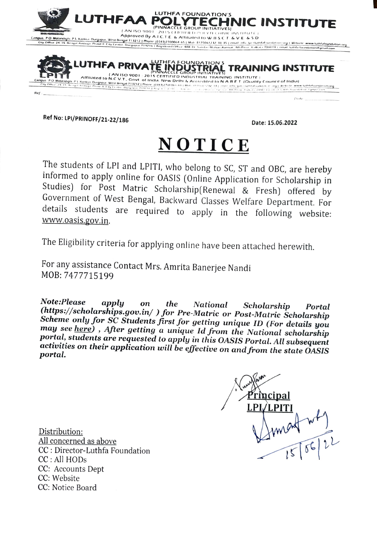

Ref No: LPI/PRINOFF/21-22/186

Date: 15.06.2022

## NOTICE

The students of LPI and LPITI, who belong to SC, ST and OBC, are hereby informed to apply online for OASIS (Online Application for Scholarship in Studies) for Post Matric Scholarship(Renewal & Fresh) offered by Government of West Bengal, Backward Classes Welfare Department. For details students are required to apply in the following website: www.oasis.gov.in.

The Eligibility criteria for applying online have been attached herewith.

For any assistance Contact Mrs. Amrita Banerjee Nandi MOB: 7477715199

Note:Please applu on the **National** Scholarship Portal (https://scholarships.gov.in/) for Pre-Matric or Post-Matric Scholarship Scheme only for SC Students first for getting unique ID (For details you may see here), After getting a unique Id from the National scholarship portal, students are requested to apply in this OASIS Portal. All subsequent activities on their application will be effective on and from the state OASIS portal.



Distribution: All concerned as above CC : Director-Luthfa Foundation CC: All HODs CC: Accounts Dept CC: Website CC: Notice Board